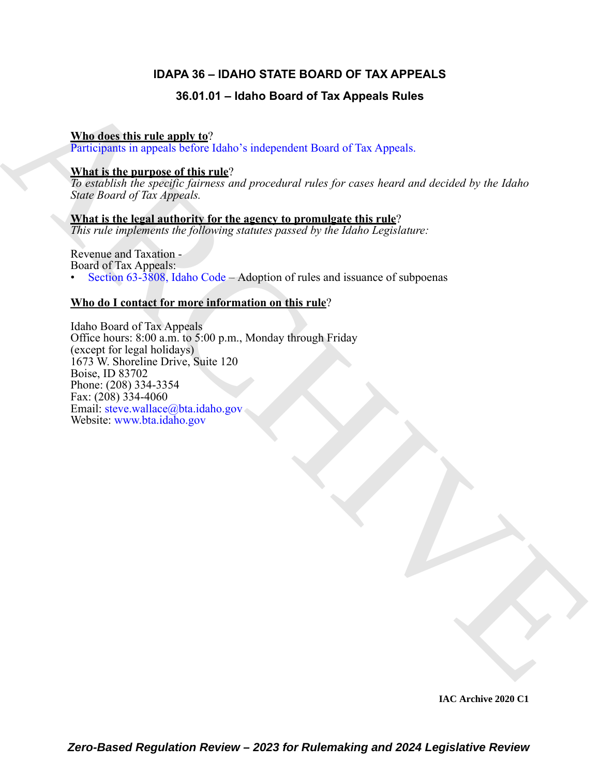# **IDAPA 36 – IDAHO STATE BOARD OF TAX APPEALS**

# **36.01.01 – Idaho Board of Tax Appeals Rules**

### **Who does this rule apply to**?

Participants in appeals before Idaho's independent Board of Tax Appeals.

### **What is the purpose of this rule**?

*To establish the specific fairness and procedural rules for cases heard and decided by the Idaho State Board of Tax Appeals.*

**What is the legal authority for the agency to promulgate this rule**? *This rule implements the following statutes passed by the Idaho Legislature:*

Revenue and Taxation - Board of Tax Appeals: • Section 63-3808, Idaho Code – Adoption of rules and issuance of subpoenas

# **Who do I contact for more information on this rule**?

36. 01. 01 - [I](http://www.bta.idaho.gov)daho Board of Tax Appeals Rules<br>
Mind this mixture and the state of the state of the Appeals.<br>
What is the numeros of this rule?<br>
What is the numeros of the costs of procedural rules for cases focus one disc Idaho Board of Tax Appeals Office hours: 8:00 a.m. to 5:00 p.m., Monday through Friday (except for legal holidays) 1673 W. Shoreline Drive, Suite 120 Boise, ID 83702 Phone: (208) 334-3354 Fax:  $(208)$  334-4060 Email: steve.wallace@bta.idaho.gov Website: www.bta.idaho.gov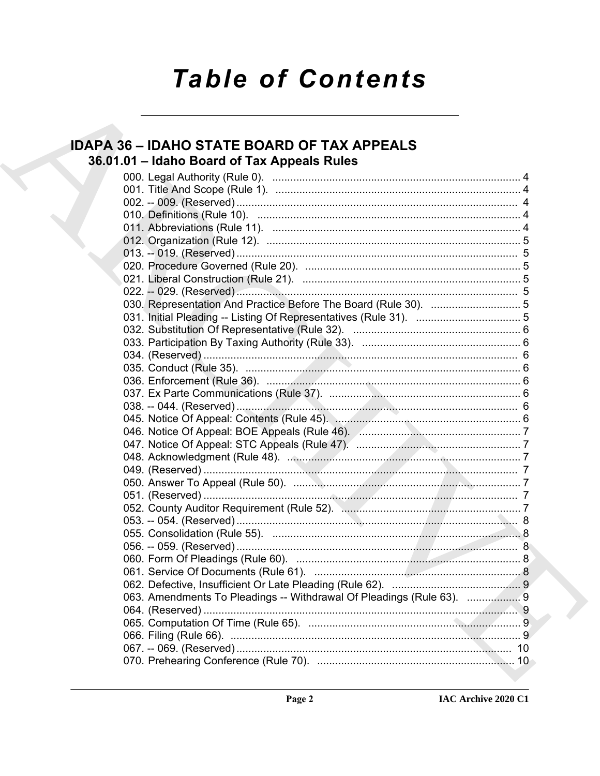# **Table of Contents**

# **IDAPA 36 - IDAHO STATE BOARD OF TAX APPEALS** 36.01.01 - Idaho Board of Tax Appeals Rules

| 063. Amendments To Pleadings -- Withdrawal Of Pleadings (Rule 63). 9 |  |
|----------------------------------------------------------------------|--|
|                                                                      |  |
|                                                                      |  |
|                                                                      |  |
|                                                                      |  |
|                                                                      |  |
|                                                                      |  |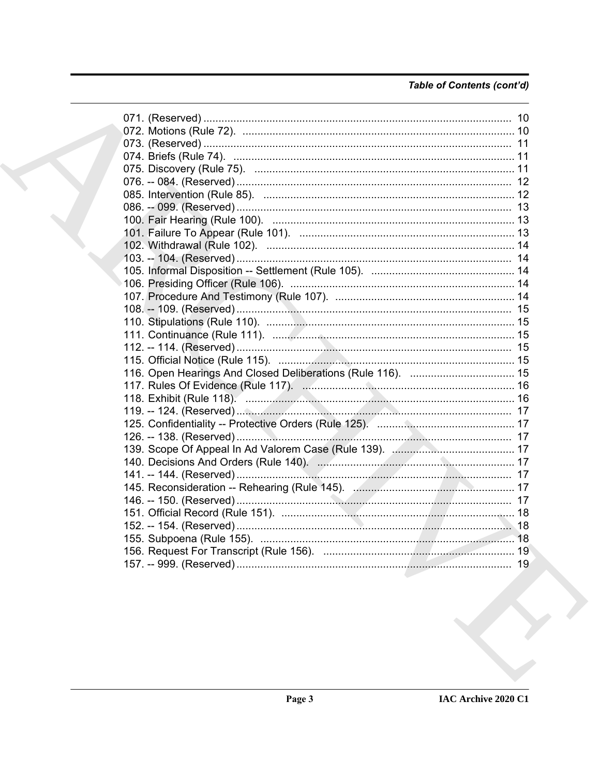# Table of Contents (cont'd)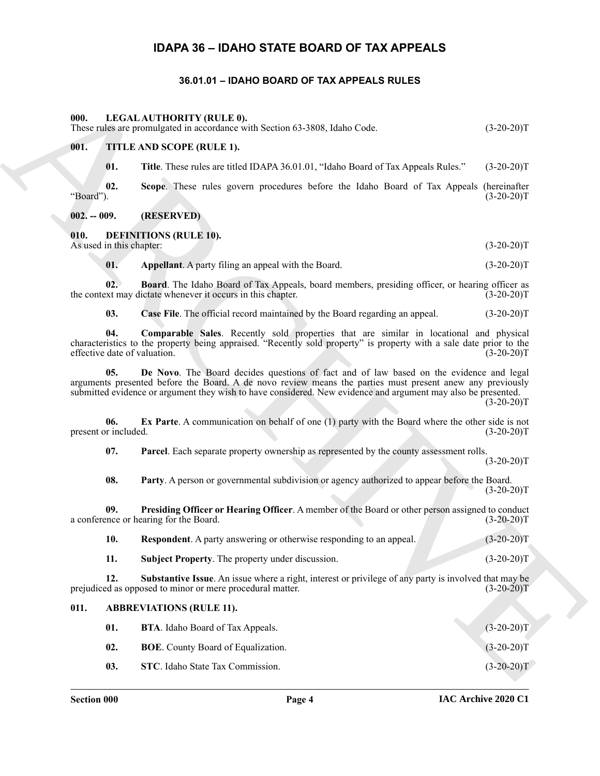# **IDAPA 36 – IDAHO STATE BOARD OF TAX APPEALS**

#### **36.01.01 – IDAHO BOARD OF TAX APPEALS RULES**

#### <span id="page-3-25"></span><span id="page-3-24"></span><span id="page-3-3"></span><span id="page-3-2"></span><span id="page-3-1"></span><span id="page-3-0"></span>**000. LEGAL AUTHORITY (RULE 0).**

| 000.                        | LEGAL AUTHORITY (RULE 0).<br>These rules are promulgated in accordance with Section 63-3808, Idaho Code.                                                                                                                                                                                                              | $(3-20-20)T$ |
|-----------------------------|-----------------------------------------------------------------------------------------------------------------------------------------------------------------------------------------------------------------------------------------------------------------------------------------------------------------------|--------------|
| 001.                        | TITLE AND SCOPE (RULE 1).                                                                                                                                                                                                                                                                                             |              |
| 01.                         | Title. These rules are titled IDAPA 36.01.01, "Idaho Board of Tax Appeals Rules."                                                                                                                                                                                                                                     | $(3-20-20)T$ |
| 02.<br>"Board").            | Scope. These rules govern procedures before the Idaho Board of Tax Appeals (hereinafter                                                                                                                                                                                                                               | $(3-20-20)T$ |
| $002. - 009.$               | (RESERVED)                                                                                                                                                                                                                                                                                                            |              |
| 010.                        | <b>DEFINITIONS (RULE 10).</b><br>As used in this chapter:                                                                                                                                                                                                                                                             | $(3-20-20)T$ |
| 01.                         | Appellant. A party filing an appeal with the Board.                                                                                                                                                                                                                                                                   | $(3-20-20)T$ |
| 02.                         | <b>Board</b> . The Idaho Board of Tax Appeals, board members, presiding officer, or hearing officer as<br>the context may dictate whenever it occurs in this chapter.                                                                                                                                                 | $(3-20-20)T$ |
| 03.                         | Case File. The official record maintained by the Board regarding an appeal.                                                                                                                                                                                                                                           | $(3-20-20)T$ |
| 04.                         | Comparable Sales. Recently sold properties that are similar in locational and physical<br>characteristics to the property being appraised. "Recently sold property" is property with a sale date prior to the<br>effective date of valuation.                                                                         | $(3-20-20)T$ |
| 05.                         | De Novo. The Board decides questions of fact and of law based on the evidence and legal<br>arguments presented before the Board. A de novo review means the parties must present anew any previously<br>submitted evidence or argument they wish to have considered. New evidence and argument may also be presented. | $(3-20-20)T$ |
| 06.<br>present or included. | <b>Ex Parte.</b> A communication on behalf of one (1) party with the Board where the other side is not                                                                                                                                                                                                                | $(3-20-20)T$ |
| 07.                         | Parcel. Each separate property ownership as represented by the county assessment rolls.                                                                                                                                                                                                                               | $(3-20-20)T$ |
| 08.                         | Party. A person or governmental subdivision or agency authorized to appear before the Board.                                                                                                                                                                                                                          | $(3-20-20)T$ |
| 09.                         | Presiding Officer or Hearing Officer. A member of the Board or other person assigned to conduct<br>a conference or hearing for the Board.                                                                                                                                                                             | $(3-20-20)T$ |
| 10.                         | Respondent. A party answering or otherwise responding to an appeal.                                                                                                                                                                                                                                                   | $(3-20-20)T$ |
| 11.                         | Subject Property. The property under discussion.                                                                                                                                                                                                                                                                      | $(3-20-20)T$ |
| 12.                         | Substantive Issue. An issue where a right, interest or privilege of any party is involved that may be<br>prejudiced as opposed to minor or mere procedural matter.                                                                                                                                                    | $(3-20-20)T$ |
| 011.                        | <b>ABBREVIATIONS (RULE 11).</b>                                                                                                                                                                                                                                                                                       |              |
| 01.                         | BTA. Idaho Board of Tax Appeals.                                                                                                                                                                                                                                                                                      | $(3-20-20)T$ |
| 02.                         | <b>BOE</b> . County Board of Equalization.                                                                                                                                                                                                                                                                            | $(3-20-20)T$ |
| 03.                         | STC. Idaho State Tax Commission.                                                                                                                                                                                                                                                                                      | $(3-20-20)T$ |

#### <span id="page-3-16"></span><span id="page-3-15"></span><span id="page-3-14"></span><span id="page-3-13"></span><span id="page-3-12"></span><span id="page-3-11"></span><span id="page-3-5"></span><span id="page-3-4"></span>**010. DEFINITIONS (RULE 10).**

<span id="page-3-23"></span><span id="page-3-22"></span><span id="page-3-21"></span><span id="page-3-20"></span><span id="page-3-19"></span><span id="page-3-18"></span><span id="page-3-17"></span>

| <b>Respondent.</b> A party answering or otherwise responding to an appeal. |  | $(3-20-20)T$ |
|----------------------------------------------------------------------------|--|--------------|
|                                                                            |  |              |

# <span id="page-3-10"></span><span id="page-3-9"></span><span id="page-3-8"></span><span id="page-3-7"></span><span id="page-3-6"></span>**01. BTA**. Idaho Board of Tax Appeals. (3-20-20)T **02. BOE**. County Board of Equalization. (3-20-20)T **03.** STC. Idaho State Tax Commission. (3-20-20)T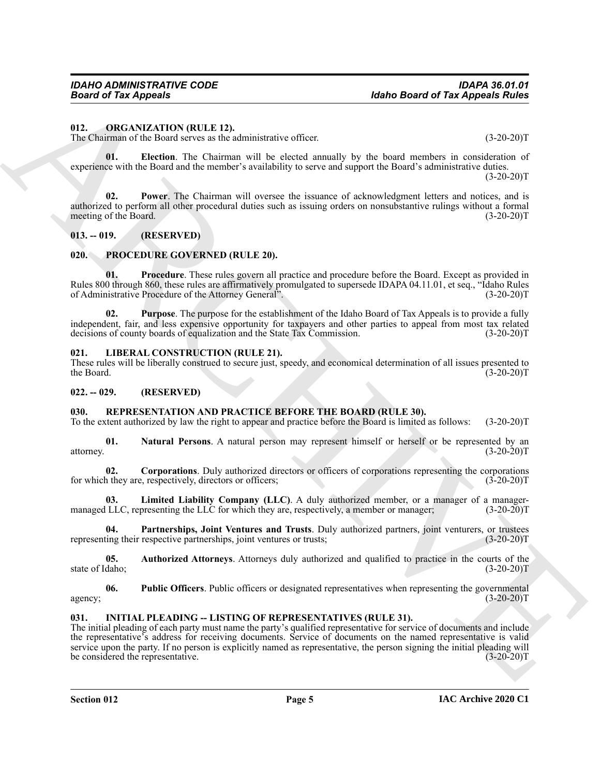#### <span id="page-4-9"></span><span id="page-4-0"></span>**012. ORGANIZATION (RULE 12).**

The Chairman of the Board serves as the administrative officer. (3-20-20)T

<span id="page-4-10"></span>**01. Election**. The Chairman will be elected annually by the board members in consideration of experience with the Board and the member's availability to serve and support the Board's administrative duties.

 $(3-20-20)T$ 

<span id="page-4-11"></span>**02. Power**. The Chairman will oversee the issuance of acknowledgment letters and notices, and is authorized to perform all other procedural duties such as issuing orders on nonsubstantive rulings without a formal meeting of the Board. (3-20-20)T

#### <span id="page-4-1"></span>**013. -- 019. (RESERVED)**

#### <span id="page-4-12"></span><span id="page-4-2"></span>**020. PROCEDURE GOVERNED (RULE 20).**

<span id="page-4-13"></span>**01. Procedure**. These rules govern all practice and procedure before the Board. Except as provided in Rules 800 through 860, these rules are affirmatively promulgated to supersede IDAPA 04.11.01, et seq., "Idaho Rules of Administrative Procedure of the Attorney General". (3-20-20)T

<span id="page-4-14"></span>**02. Purpose**. The purpose for the establishment of the Idaho Board of Tax Appeals is to provide a fully independent, fair, and less expensive opportunity for taxpayers and other parties to appeal from most tax related decisions of county boards of equalization and the State Tax Commission. (3-20-20)T decisions of county boards of equalization and the State Tax Commission.

#### <span id="page-4-8"></span><span id="page-4-3"></span>**021. LIBERAL CONSTRUCTION (RULE 21).**

These rules will be liberally construed to secure just, speedy, and economical determination of all issues presented to the Board. (3-20-20) the Board. (3-20-20)T

#### <span id="page-4-4"></span>**022. -- 029. (RESERVED)**

#### <span id="page-4-15"></span><span id="page-4-5"></span>**030. REPRESENTATION AND PRACTICE BEFORE THE BOARD (RULE 30).**

To the extent authorized by law the right to appear and practice before the Board is limited as follows: (3-20-20)T

<span id="page-4-19"></span>**01.** Natural Persons. A natural person may represent himself or herself or be represented by an  $(3-20-20)T$ attorney. (3-20-20)T

<span id="page-4-17"></span>**02. Corporations**. Duly authorized directors or officers of corporations representing the corporations for which they are, respectively, directors or officers; (3-20-20)T

<span id="page-4-18"></span>**03.** Limited Liability Company (LLC). A duly authorized member, or a manager of a manager-<br>LLC, representing the LLC for which they are, respectively, a member or manager: (3-20-20) managed LLC, representing the LLC for which they are, respectively, a member or manager;

<span id="page-4-20"></span>**04. Partnerships, Joint Ventures and Trusts**. Duly authorized partners, joint venturers, or trustees representing their respective partnerships, joint ventures or trusts;

<span id="page-4-16"></span>**05. Authorized Attorneys**. Attorneys duly authorized and qualified to practice in the courts of the state of Idaho; (3-20-20)T

<span id="page-4-21"></span>**06.** Public Officers. Public officers or designated representatives when representing the governmental (3-20-20)T agency;  $(3-20-20)T$ 

#### <span id="page-4-7"></span><span id="page-4-6"></span>**031. INITIAL PLEADING -- LISTING OF REPRESENTATIVES (RULE 31).**

**Hobro Board of Tax Appeals**<br>
11. ORIGINALTED.<br>
13. ORIGINALTED.<br>
13. ORIGINALTED.<br>
13. ORIGINALTED.<br>
13. ORIGINALTED.<br>
13. ORIGINALTED.<br>
13. ORIGINALTED.<br>
13. **CARCHIVE START CONTINUES** (ACTIVE TO THE CHART CONTINUES) we The initial pleading of each party must name the party's qualified representative for service of documents and include the representative's address for receiving documents. Service of documents on the named representative is valid service upon the party. If no person is explicitly named as representative, the person signing the initial pleading will<br>be considered the representative. (3-20-20)T be considered the representative.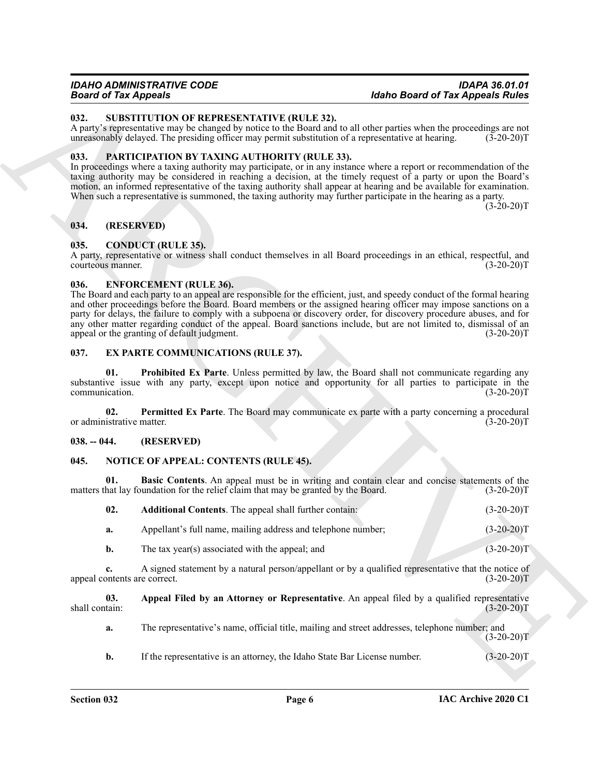#### *IDAHO ADMINISTRATIVE CODE IDAPA 36.01.01 Board of Tax Appeals Idaho Board of Tax Appeals Rules*

#### <span id="page-5-18"></span><span id="page-5-0"></span>**032. SUBSTITUTION OF REPRESENTATIVE (RULE 32).**

A party's representative may be changed by notice to the Board and to all other parties when the proceedings are not unreasonably delayed. The presiding officer may permit substitution of a representative at hearing. (3-20-20)T

#### <span id="page-5-17"></span><span id="page-5-1"></span>**033. PARTICIPATION BY TAXING AUTHORITY (RULE 33).**

In proceedings where a taxing authority may participate, or in any instance where a report or recommendation of the taxing authority may be considered in reaching a decision, at the timely request of a party or upon the Board's motion, an informed representative of the taxing authority shall appear at hearing and be available for examination. When such a representative is summoned, the taxing authority may further participate in the hearing as a party.

 $(3-20-20)T$ 

#### <span id="page-5-2"></span>**034. (RESERVED)**

#### <span id="page-5-8"></span><span id="page-5-3"></span>**035. CONDUCT (RULE 35).**

A party, representative or witness shall conduct themselves in all Board proceedings in an ethical, respectful, and courteous manner.

#### <span id="page-5-9"></span><span id="page-5-4"></span>**036. ENFORCEMENT (RULE 36).**

**Example 2013**<br> **Example 2013**<br> **Example 2013**<br> **ARCHIVE ARCHIVES CONTEXT (RULL 32).**<br>
ARCHIVES CONTEXT IN CONTEXT ARTIVE (RULL 32).<br>
ARCHIVES CONTEXT IN CONTEXT AND RESIDENCE INTO A CONTEXT AND CONTEXT AND CONTEXT AND CO The Board and each party to an appeal are responsible for the efficient, just, and speedy conduct of the formal hearing and other proceedings before the Board. Board members or the assigned hearing officer may impose sanctions on a party for delays, the failure to comply with a subpoena or discovery order, for discovery procedure abuses, and for any other matter regarding conduct of the appeal. Board sanctions include, but are not limited to, dismissal of an appeal or the granting of default judgment. (3-20-20) appeal or the granting of default judgment.

#### <span id="page-5-10"></span><span id="page-5-5"></span>**037. EX PARTE COMMUNICATIONS (RULE 37).**

<span id="page-5-12"></span>**01. Prohibited Ex Parte**. Unless permitted by law, the Board shall not communicate regarding any substantive issue with any party, except upon notice and opportunity for all parties to participate in the communication. (3-20-20)T communication.

<span id="page-5-11"></span>**02.** Permitted Ex Parte. The Board may communicate ex parte with a party concerning a procedural istrative matter. (3-20-20) or administrative matter.

#### <span id="page-5-6"></span>**038. -- 044. (RESERVED)**

#### <span id="page-5-13"></span><span id="page-5-7"></span>**045. NOTICE OF APPEAL: CONTENTS (RULE 45).**

**01. Basic Contents**. An appeal must be in writing and contain clear and concise statements of the matters that lay foundation for the relief claim that may be granted by the Board. (3-20-20)T

<span id="page-5-16"></span><span id="page-5-14"></span>

| 02. | Additional Contents. The appeal shall further contain: |  | $(3-20-20)T$ |
|-----|--------------------------------------------------------|--|--------------|
|-----|--------------------------------------------------------|--|--------------|

**a.** Appellant's full name, mailing address and telephone number; (3-20-20)T

**b.** The tax year(s) associated with the appeal; and (3-20-20)T

**c.** A signed statement by a natural person/appellant or by a qualified representative that the notice of appeal contents are correct. (3-20-20)T

**03.** Appeal Filed by an Attorney or Representative. An appeal filed by a qualified representative shall contain: (3-20-20) shall contain: (3-20-20)T

<span id="page-5-15"></span>**a.** The representative's name, official title, mailing and street addresses, telephone number; and  $(3-20-20)T$ 

**b.** If the representative is an attorney, the Idaho State Bar License number. (3-20-20)T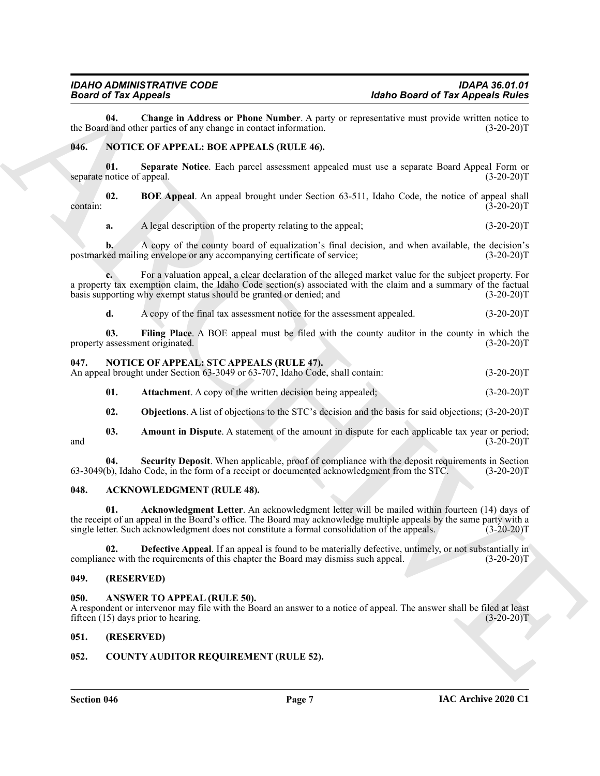<span id="page-6-16"></span>**04.** Change in Address or Phone Number. A party or representative must provide written notice to d and other parties of any change in contact information. (3-20-20) the Board and other parties of any change in contact information.

#### <span id="page-6-15"></span><span id="page-6-12"></span><span id="page-6-0"></span>**046. NOTICE OF APPEAL: BOE APPEALS (RULE 46).**

**01. Separate Notice**. Each parcel assessment appealed must use a separate Board Appeal Form or separate notice of appeal.

**02. BOE Appeal**. An appeal brought under Section 63-511, Idaho Code, the notice of appeal shall  $(3-20-20)$ T

<span id="page-6-13"></span>**a.** A legal description of the property relating to the appeal; (3-20-20)T

**b.** A copy of the county board of equalization's final decision, and when available, the decision's postmarked mailing envelope or any accompanying certificate of service; (3-20-20)T

**Holon Grand of Tar Approximation Controlled Mathematics and Tar Approximation and the system of Tar Approximation and the Controlled Mathematics and the Controlled Mathematics and the Controlled Mathematics and the Contr c.** For a valuation appeal, a clear declaration of the alleged market value for the subject property. For a property tax exemption claim, the Idaho Code section(s) associated with the claim and a summary of the factual basis supporting why exempt status should be granted or denied; and (3-20-20)T

<span id="page-6-14"></span>**d.** A copy of the final tax assessment notice for the assessment appealed.  $(3-20-20)T$ 

**03. Filing Place**. A BOE appeal must be filed with the county auditor in the county in which the property assessment originated. (3-20-20)T

#### <span id="page-6-17"></span><span id="page-6-1"></span>**047. NOTICE OF APPEAL: STC APPEALS (RULE 47).**

An appeal brought under Section 63-3049 or 63-707, Idaho Code, shall contain: (3-20-20)T

<span id="page-6-19"></span>**01. Attachment**. A copy of the written decision being appealed;  $(3-20-20)T$ 

<span id="page-6-21"></span><span id="page-6-20"></span><span id="page-6-18"></span>**02. Objections**. A list of objections to the STC's decision and the basis for said objections; (3-20-20)T

**03.** Amount in Dispute. A statement of the amount in dispute for each applicable tax year or period;<br>(3-20-20)T and  $(3-20-20)T$ 

**04. Security Deposit**. When applicable, proof of compliance with the deposit requirements in Section 63-3049(b), Idaho Code, in the form of a receipt or documented acknowledgment from the STC.

#### <span id="page-6-7"></span><span id="page-6-2"></span>**048. ACKNOWLEDGMENT (RULE 48).**

<span id="page-6-8"></span>**01. Acknowledgment Letter**. An acknowledgment letter will be mailed within fourteen (14) days of the receipt of an appeal in the Board's office. The Board may acknowledge multiple appeals by the same party with a single letter. Such acknowledgment does not constitute a formal consolidation of the appeals. (3-20-20)T single letter. Such acknowledgment does not constitute a formal consolidation of the appeals.

<span id="page-6-9"></span>**02. Defective Appeal**. If an appeal is found to be materially defective, untimely, or not substantially in ince with the requirements of this chapter the Board may dismiss such appeal.  $(3-20-20)$ compliance with the requirements of this chapter the Board may dismiss such appeal.

#### <span id="page-6-3"></span>**049. (RESERVED)**

#### <span id="page-6-10"></span><span id="page-6-4"></span>**050. ANSWER TO APPEAL (RULE 50).**

A respondent or intervenor may file with the Board an answer to a notice of appeal. The answer shall be filed at least fifteen (15) days prior to hearing. (3-20-20)T

#### <span id="page-6-5"></span>**051. (RESERVED)**

#### <span id="page-6-11"></span><span id="page-6-6"></span>**052. COUNTY AUDITOR REQUIREMENT (RULE 52).**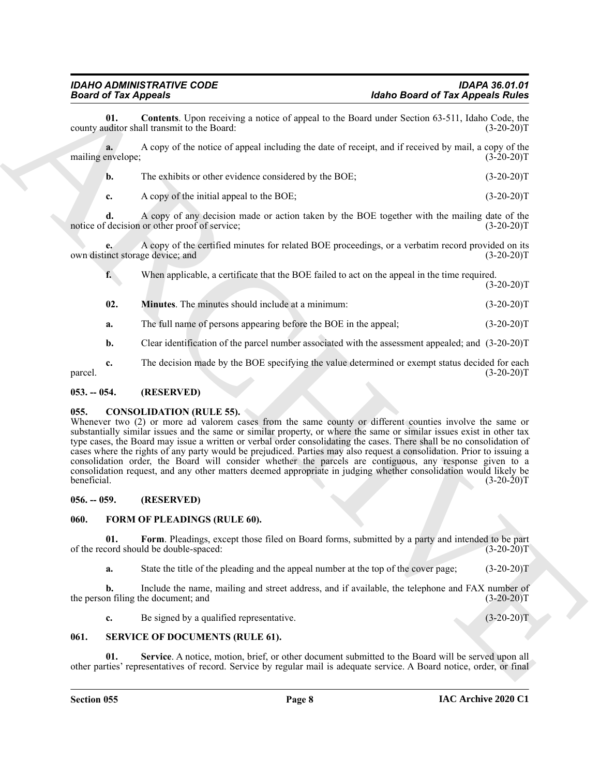**Example of Tar Approach Counter the Contrast Contrast Contrast Counter and Counter the Counter of Tar Approximation and Counter the Counter of Tar Approximation of the Counter of the Counter of the Counter of Tar Apple 2 01. Contents**. Upon receiving a notice of appeal to the Board under Section 63-511, Idaho Code, the uditor shall transmit to the Board: (3-20-20) county auditor shall transmit to the Board: **a.** A copy of the notice of appeal including the date of receipt, and if received by mail, a copy of the mailing envelope; (3-20-20)T **b.** The exhibits or other evidence considered by the BOE; (3-20-20)T **c.** A copy of the initial appeal to the BOE; (3-20-20)T

<span id="page-7-6"></span>**d.** A copy of any decision made or action taken by the BOE together with the mailing date of the notice of decision or other proof of service; (3-20-20)T

**e.** A copy of the certified minutes for related BOE proceedings, or a verbatim record provided on its own distinct storage device; and (3-20-20)T

**f.** When applicable, a certificate that the BOE failed to act on the appeal in the time required.  $(3-20-20)T$ 

- <span id="page-7-7"></span>**02. Minutes**. The minutes should include at a minimum:  $(3-20-20)T$
- **a.** The full name of persons appearing before the BOE in the appeal; (3-20-20)T
- **b.** Clear identification of the parcel number associated with the assessment appealed; and  $(3-20-20)T$

**c.** The decision made by the BOE specifying the value determined or exempt status decided for each  $p$ arcel. (3-20-20)T

#### <span id="page-7-0"></span>**053. -- 054. (RESERVED)**

#### <span id="page-7-5"></span><span id="page-7-1"></span>**055. CONSOLIDATION (RULE 55).**

Whenever two (2) or more ad valorem cases from the same county or different counties involve the same or substantially similar issues and the same or similar property, or where the same or similar issues exist in other tax type cases, the Board may issue a written or verbal order consolidating the cases. There shall be no consolidation of cases where the rights of any party would be prejudiced. Parties may also request a consolidation. Prior to issuing a consolidation order, the Board will consider whether the parcels are contiguous, any response given to a consolidation request, and any other matters deemed appropriate in judging whether consolidation would likely be beneficial. (3-20-20)T

#### <span id="page-7-2"></span>**056. -- 059. (RESERVED)**

#### <span id="page-7-8"></span><span id="page-7-3"></span>**060. FORM OF PLEADINGS (RULE 60).**

**01.** Form. Pleadings, except those filed on Board forms, submitted by a party and intended to be part cord should be double-spaced:  $(3-20-20)T$ of the record should be double-spaced:

<span id="page-7-9"></span>**a.** State the title of the pleading and the appeal number at the top of the cover page; (3-20-20)T

**b.** Include the name, mailing and street address, and if available, the telephone and FAX number of on filing the document; and  $(3-20-20)$ T the person filing the document; and

<span id="page-7-11"></span><span id="page-7-10"></span>**c.** Be signed by a qualified representative. (3-20-20)T

#### <span id="page-7-4"></span>**061. SERVICE OF DOCUMENTS (RULE 61).**

**Service**. A notice, motion, brief, or other document submitted to the Board will be served upon all other parties' representatives of record. Service by regular mail is adequate service. A Board notice, order, or final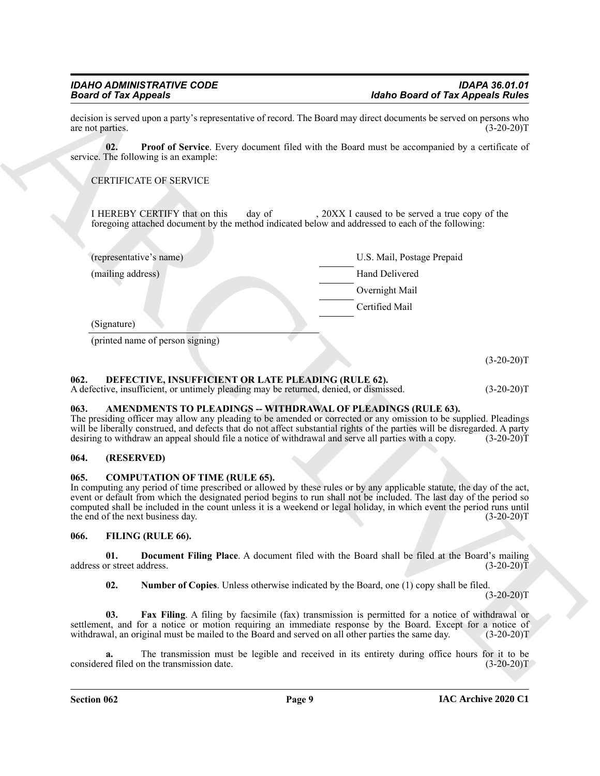<span id="page-8-12"></span>

| <b>Board of Tax Appeals</b>       |                                                                                                                                               |                                                                                                                                                                                                                                                                                                                                                                                                                                          |
|-----------------------------------|-----------------------------------------------------------------------------------------------------------------------------------------------|------------------------------------------------------------------------------------------------------------------------------------------------------------------------------------------------------------------------------------------------------------------------------------------------------------------------------------------------------------------------------------------------------------------------------------------|
| are not parties.                  |                                                                                                                                               | decision is served upon a party's representative of record. The Board may direct documents be served on persons who<br>$(3-20-20)T$                                                                                                                                                                                                                                                                                                      |
| 02.                               | service. The following is an example:                                                                                                         | Proof of Service. Every document filed with the Board must be accompanied by a certificate of                                                                                                                                                                                                                                                                                                                                            |
|                                   | <b>CERTIFICATE OF SERVICE</b>                                                                                                                 |                                                                                                                                                                                                                                                                                                                                                                                                                                          |
|                                   | I HEREBY CERTIFY that on this<br>day of                                                                                                       | , 20XX I caused to be served a true copy of the<br>foregoing attached document by the method indicated below and addressed to each of the following:                                                                                                                                                                                                                                                                                     |
|                                   | (representative's name)                                                                                                                       | U.S. Mail, Postage Prepaid                                                                                                                                                                                                                                                                                                                                                                                                               |
| (mailing address)                 |                                                                                                                                               | Hand Delivered                                                                                                                                                                                                                                                                                                                                                                                                                           |
|                                   |                                                                                                                                               | Overnight Mail                                                                                                                                                                                                                                                                                                                                                                                                                           |
|                                   |                                                                                                                                               | Certified Mail                                                                                                                                                                                                                                                                                                                                                                                                                           |
| (Signature)                       |                                                                                                                                               |                                                                                                                                                                                                                                                                                                                                                                                                                                          |
|                                   | (printed name of person signing)                                                                                                              |                                                                                                                                                                                                                                                                                                                                                                                                                                          |
|                                   |                                                                                                                                               |                                                                                                                                                                                                                                                                                                                                                                                                                                          |
| 062.                              | DEFECTIVE, INSUFFICIENT OR LATE PLEADING (RULE 62).<br>A defective, insufficient, or untimely pleading may be returned, denied, or dismissed. | $(3-20-20)T$<br>$(3-20-20)T$                                                                                                                                                                                                                                                                                                                                                                                                             |
| 063.                              |                                                                                                                                               | AMENDMENTS TO PLEADINGS -- WITHDRAWAL OF PLEADINGS (RULE 63).<br>The presiding officer may allow any pleading to be amended or corrected or any omission to be supplied. Pleadings<br>will be liberally construed, and defects that do not affect substantial rights of the parties will be disregarded. A party<br>desiring to withdraw an appeal should file a notice of withdrawal and serve all parties with a copy.<br>$(3-20-20)T$ |
| 064.                              | (RESERVED)                                                                                                                                    |                                                                                                                                                                                                                                                                                                                                                                                                                                          |
| 065.                              | <b>COMPUTATION OF TIME (RULE 65).</b><br>the end of the next business day.                                                                    | In computing any period of time prescribed or allowed by these rules or by any applicable statute, the day of the act,<br>event or default from which the designated period begins to run shall not be included. The last day of the period so<br>computed shall be included in the count unless it is a weekend or legal holiday, in which event the period runs until<br>$(3-20-20)T$                                                  |
| 066.                              | FILING (RULE 66).                                                                                                                             |                                                                                                                                                                                                                                                                                                                                                                                                                                          |
| 01.<br>address or street address. |                                                                                                                                               | Document Filing Place. A document filed with the Board shall be filed at the Board's mailing<br>$(3-20-20)T$                                                                                                                                                                                                                                                                                                                             |
| 02.                               |                                                                                                                                               | <b>Number of Copies.</b> Unless otherwise indicated by the Board, one (1) copy shall be filed.<br>$(3-20-20)T$                                                                                                                                                                                                                                                                                                                           |
| 03.                               |                                                                                                                                               | Fax Filing. A filing by facsimile (fax) transmission is permitted for a notice of withdrawal or<br>settlement, and for a notice or motion requiring an immediate response by the Board. Except for a notice of<br>withdrawal, an original must be mailed to the Board and served on all other parties the same day.<br>$(3-20-20)T$                                                                                                      |

#### <span id="page-8-7"></span><span id="page-8-0"></span>**062. DEFECTIVE, INSUFFICIENT OR LATE PLEADING (RULE 62).**

#### <span id="page-8-5"></span><span id="page-8-1"></span>**063. AMENDMENTS TO PLEADINGS -- WITHDRAWAL OF PLEADINGS (RULE 63).**

#### <span id="page-8-2"></span>**064. (RESERVED)**

#### <span id="page-8-6"></span><span id="page-8-3"></span>**065. COMPUTATION OF TIME (RULE 65).**

#### <span id="page-8-11"></span><span id="page-8-10"></span><span id="page-8-9"></span><span id="page-8-8"></span><span id="page-8-4"></span>**066. FILING (RULE 66).**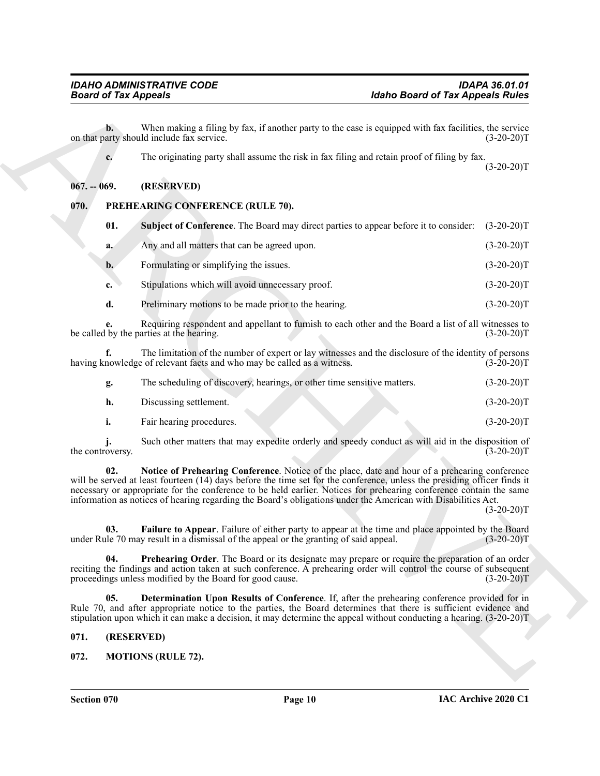#### <span id="page-9-0"></span>**067. -- 069. (RESERVED)**

#### <span id="page-9-10"></span><span id="page-9-5"></span><span id="page-9-1"></span>**070. PREHEARING CONFERENCE (RULE 70).**

| <b>Board of Tax Appeals</b> |                                                                                                                                                                                                                                                                                                                                                                                                                                                                   | <b>Idaho Board of Tax Appeals Rules</b> |
|-----------------------------|-------------------------------------------------------------------------------------------------------------------------------------------------------------------------------------------------------------------------------------------------------------------------------------------------------------------------------------------------------------------------------------------------------------------------------------------------------------------|-----------------------------------------|
| b.                          | When making a filing by fax, if another party to the case is equipped with fax facilities, the service<br>on that party should include fax service.                                                                                                                                                                                                                                                                                                               | $(3-20-20)T$                            |
| c.                          | The originating party shall assume the risk in fax filing and retain proof of filing by fax.                                                                                                                                                                                                                                                                                                                                                                      | $(3-20-20)T$                            |
| $067. - 069.$               | (RESERVED)                                                                                                                                                                                                                                                                                                                                                                                                                                                        |                                         |
| 070.                        | PREHEARING CONFERENCE (RULE 70).                                                                                                                                                                                                                                                                                                                                                                                                                                  |                                         |
| 01.                         | <b>Subject of Conference</b> . The Board may direct parties to appear before it to consider:                                                                                                                                                                                                                                                                                                                                                                      | $(3-20-20)T$                            |
| a.                          | Any and all matters that can be agreed upon.                                                                                                                                                                                                                                                                                                                                                                                                                      | $(3-20-20)T$                            |
| $\mathbf{b}$ .              | Formulating or simplifying the issues.                                                                                                                                                                                                                                                                                                                                                                                                                            | $(3-20-20)T$                            |
| c.                          | Stipulations which will avoid unnecessary proof.                                                                                                                                                                                                                                                                                                                                                                                                                  | $(3-20-20)T$                            |
| d.                          | Preliminary motions to be made prior to the hearing.                                                                                                                                                                                                                                                                                                                                                                                                              | $(3-20-20)T$                            |
|                             | Requiring respondent and appellant to furnish to each other and the Board a list of all witnesses to<br>be called by the parties at the hearing.                                                                                                                                                                                                                                                                                                                  | $(3-20-20)T$                            |
| f.                          | The limitation of the number of expert or lay witnesses and the disclosure of the identity of persons<br>having knowledge of relevant facts and who may be called as a witness.                                                                                                                                                                                                                                                                                   | $(3-20-20)T$                            |
| g.                          | The scheduling of discovery, hearings, or other time sensitive matters.                                                                                                                                                                                                                                                                                                                                                                                           | $(3-20-20)T$                            |
| h.                          | Discussing settlement.                                                                                                                                                                                                                                                                                                                                                                                                                                            | $(3-20-20)T$                            |
| i.                          | Fair hearing procedures.                                                                                                                                                                                                                                                                                                                                                                                                                                          | $(3-20-20)T$                            |
| the controversy.            | Such other matters that may expedite orderly and speedy conduct as will aid in the disposition of                                                                                                                                                                                                                                                                                                                                                                 | $(3-20-20)T$                            |
| 02.                         | Notice of Prehearing Conference. Notice of the place, date and hour of a prehearing conference<br>will be served at least fourteen (14) days before the time set for the conference, unless the presiding officer finds it<br>necessary or appropriate for the conference to be held earlier. Notices for prehearing conference contain the same<br>information as notices of hearing regarding the Board's obligations under the American with Disabilities Act. | $(3-20-20)T$                            |
| 03.                         | Failure to Appear. Failure of either party to appear at the time and place appointed by the Board<br>under Rule 70 may result in a dismissal of the appeal or the granting of said appeal.                                                                                                                                                                                                                                                                        | $(3-20-20)T$                            |
| 04.                         | Prehearing Order. The Board or its designate may prepare or require the preparation of an order<br>reciting the findings and action taken at such conference. A prehearing order will control the course of subsequent<br>proceedings unless modified by the Board for good cause.                                                                                                                                                                                | $(3-20-20)T$                            |
| 05.                         | Determination Upon Results of Conference. If, after the prehearing conference provided for in<br>Rule 70, and after appropriate notice to the parties, the Board determines that there is sufficient evidence and<br>stipulation upon which it can make a decision, it may determine the appeal without conducting a hearing. (3-20-20)T                                                                                                                          |                                         |
| 071.                        | (RESERVED)                                                                                                                                                                                                                                                                                                                                                                                                                                                        |                                         |
| 072.                        | <b>MOTIONS (RULE 72).</b>                                                                                                                                                                                                                                                                                                                                                                                                                                         |                                         |

<span id="page-9-8"></span>

| The scheduling of discovery, hearings, or other time sensitive matters. | $(3-20-20)T$ |
|-------------------------------------------------------------------------|--------------|
| Discussing settlement.                                                  | $(3-20-20)T$ |
| Fair hearing procedures.                                                | $(3-20-20)T$ |

#### <span id="page-9-9"></span><span id="page-9-7"></span><span id="page-9-6"></span><span id="page-9-2"></span>**071. (RESERVED)**

#### <span id="page-9-4"></span><span id="page-9-3"></span>**072. MOTIONS (RULE 72).**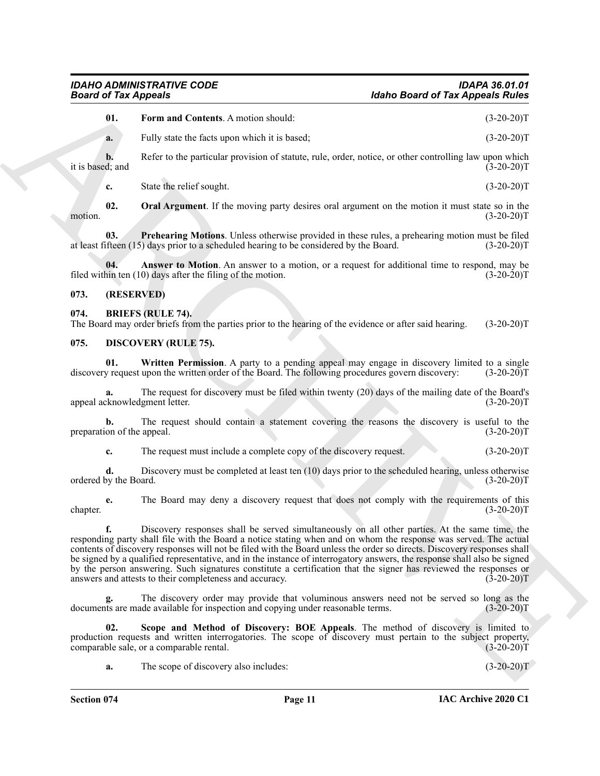|  | <b>Form and Contents.</b> A motion should: | $(3-20-20)T$ |
|--|--------------------------------------------|--------------|
|--|--------------------------------------------|--------------|

<span id="page-10-8"></span>**a.** Fully state the facts upon which it is based; (3-20-20)T

**b.** Refer to the particular provision of statute, rule, order, notice, or other controlling law upon which it is based; and  $(3-20-20)T$ 

<span id="page-10-10"></span><span id="page-10-9"></span>**c.** State the relief sought. (3-20-20)T

**02.** Oral Argument. If the moving party desires oral argument on the motion it must state so in the (3-20-20) motion. (3-20-20)T

**03. Prehearing Motions**. Unless otherwise provided in these rules, a prehearing motion must be filed at least fifteen (15) days prior to a scheduled hearing to be considered by the Board. (3-20-20)T

<span id="page-10-7"></span>**04.** Answer to Motion. An answer to a motion, or a request for additional time to respond, may be nin ten (10) days after the filing of the motion. (3-20-20) filed within ten  $(10)$  days after the filing of the motion.

#### <span id="page-10-0"></span>**073. (RESERVED)**

#### <span id="page-10-3"></span><span id="page-10-1"></span>**074. BRIEFS (RULE 74).**

The Board may order briefs from the parties prior to the hearing of the evidence or after said hearing. (3-20-20)T

#### <span id="page-10-4"></span><span id="page-10-2"></span>**075. DISCOVERY (RULE 75).**

<span id="page-10-6"></span>**01. Written Permission**. A party to a pending appeal may engage in discovery limited to a single discovery request upon the written order of the Board. The following procedures govern discovery: (3-20-20)T

**a.** The request for discovery must be filed within twenty (20) days of the mailing date of the Board's appeal acknowledgment letter. (3-20-20)T

**b.** The request should contain a statement covering the reasons the discovery is useful to the preparation of the appeal. (3-20-20)T

**c.** The request must include a complete copy of the discovery request. (3-20-20)T

**d.** Discovery must be completed at least ten (10) days prior to the scheduled hearing, unless otherwise ordered by the Board. (3-20-20)T

**e.** The Board may deny a discovery request that does not comply with the requirements of this (3-20-20) chapter. (3-20-20)T

Holeho Board of Tax Appeals 2<br>
Unit are not Control to the board of Tax Appeals 2<br>
Unit are not Control to the control times. A motive should be<br>
Recht to the performance of the control times, the extent matrix or subscri **f.** Discovery responses shall be served simultaneously on all other parties. At the same time, the responding party shall file with the Board a notice stating when and on whom the response was served. The actual contents of discovery responses will not be filed with the Board unless the order so directs. Discovery responses shall be signed by a qualified representative, and in the instance of interrogatory answers, the response shall also be signed by the person answering. Such signatures constitute a certification that the signer has reviewed the responses or answers and attests to their completeness and accuracy. (3-20-20)T

**g.** The discovery order may provide that voluminous answers need not be served so long as the documents are made available for inspection and copying under reasonable terms. (3-20-20)T

**02. Scope and Method of Discovery: BOE Appeals**. The method of discovery is limited to production requests and written interrogatories. The scope of discovery must pertain to the subject property, comparable sale, or a comparable rental. (3-20-20)T comparable sale, or a comparable rental.

<span id="page-10-5"></span>**a.** The scope of discovery also includes: (3-20-20)T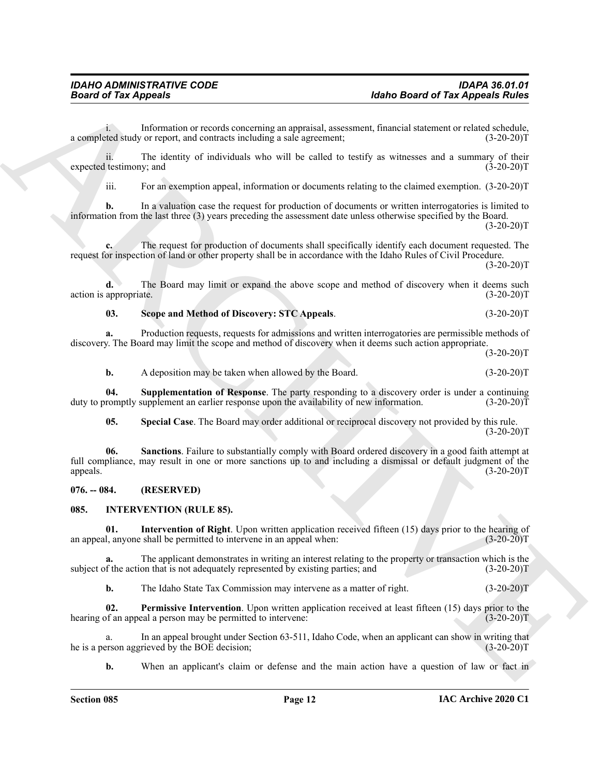i. Information or records concerning an appraisal, assessment, financial statement or related schedule, a completed study or report, and contracts including a sale agreement; (3-20-20)T

ii. The identity of individuals who will be called to testify as witnesses and a summary of their expected testimony; and (3-20-20)T

iii. For an exemption appeal, information or documents relating to the claimed exemption. (3-20-20)T

**b.** In a valuation case the request for production of documents or written interrogatories is limited to information from the last three (3) years preceding the assessment date unless otherwise specified by the Board.  $(3-20-20)T$ 

**c.** The request for production of documents shall specifically identify each document requested. The request for inspection of land or other property shall be in accordance with the Idaho Rules of Civil Procedure.

 $(3-20-20)T$ 

**d.** The Board may limit or expand the above scope and method of discovery when it deems such action is appropriate. (3-20-20)T

#### <span id="page-11-3"></span>**03. Scope and Method of Discovery: STC Appeals**. (3-20-20)T

**a.** Production requests, requests for admissions and written interrogatories are permissible methods of discovery. The Board may limit the scope and method of discovery when it deems such action appropriate.

 $(3-20-20)T$ 

<span id="page-11-5"></span>**b.** A deposition may be taken when allowed by the Board. (3-20-20)T

**04. Supplementation of Response**. The party responding to a discovery order is under a continuing duty to promptly supplement an earlier response upon the availability of new information. (3-20-20) T

<span id="page-11-4"></span><span id="page-11-2"></span>**05. Special Case**. The Board may order additional or reciprocal discovery not provided by this rule.  $(3-20-20)T$ 

**Hotel Growt of Tax Appeals 2000**<br> **ARCHIVE CONTINUOS**<br> **ARCHIVE CONTINUOS**<br> **ARCHIVE CONSULTER SUBMING AND CONSULTER SUBMING AND CONSULTER CONSULTER THE CONSULTER SUBMING AND CONSULTER THE SUBMING AND CONSULTER SUBMING A 06. Sanctions**. Failure to substantially comply with Board ordered discovery in a good faith attempt at full compliance, may result in one or more sanctions up to and including a dismissal or default judgment of the appeals. (3-20-20)T

#### <span id="page-11-0"></span>**076. -- 084. (RESERVED)**

#### <span id="page-11-6"></span><span id="page-11-1"></span>**085. INTERVENTION (RULE 85).**

<span id="page-11-7"></span>**01.** Intervention of Right. Upon written application received fifteen (15) days prior to the hearing of l, anyone shall be permitted to intervene in an appeal when: (3-20-20) an appeal, anyone shall be permitted to intervene in an appeal when:

**a.** The applicant demonstrates in writing an interest relating to the property or transaction which is the subject of the action that is not adequately represented by existing parties; and  $(3-20-20)$ T

<span id="page-11-8"></span>**b.** The Idaho State Tax Commission may intervene as a matter of right. (3-20-20)T

**02. Permissive Intervention**. Upon written application received at least fifteen (15) days prior to the hearing of an appeal a person may be permitted to intervene: (3-20-20)T

a. In an appeal brought under Section 63-511, Idaho Code, when an applicant can show in writing that erson aggrieved by the BOE decision; (3-20-20) he is a person aggrieved by the BOE decision;

**b.** When an applicant's claim or defense and the main action have a question of law or fact in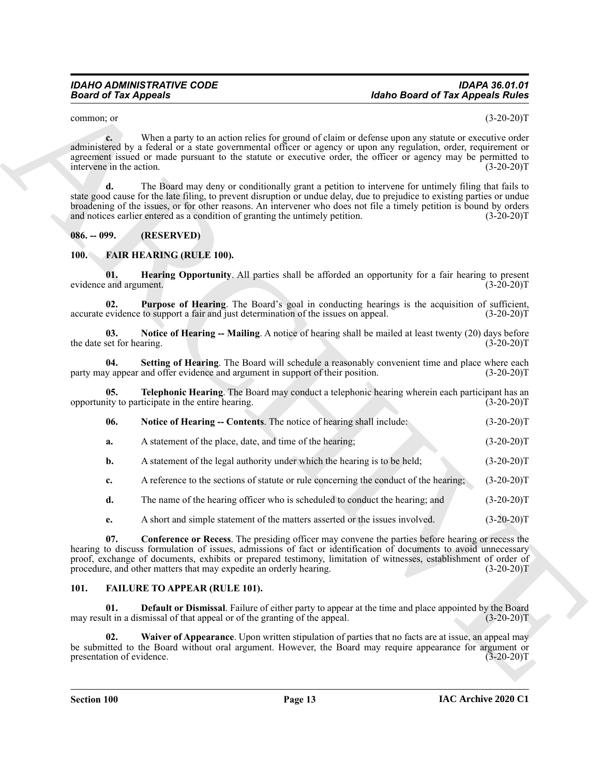#### <span id="page-12-0"></span>**086. -- 099. (RESERVED)**

#### <span id="page-12-13"></span><span id="page-12-12"></span><span id="page-12-11"></span><span id="page-12-10"></span><span id="page-12-9"></span><span id="page-12-8"></span><span id="page-12-6"></span><span id="page-12-1"></span>**100. FAIR HEARING (RULE 100).**

| common; or                       |                                                                                                                                                                                                                                                                                                                                                                                                                                           | $(3-20-20)T$ |
|----------------------------------|-------------------------------------------------------------------------------------------------------------------------------------------------------------------------------------------------------------------------------------------------------------------------------------------------------------------------------------------------------------------------------------------------------------------------------------------|--------------|
| c.<br>intervene in the action.   | When a party to an action relies for ground of claim or defense upon any statute or executive order<br>administered by a federal or a state governmental officer or agency or upon any regulation, order, requirement or<br>agreement issued or made pursuant to the statute or executive order, the officer or agency may be permitted to                                                                                                | $(3-20-20)T$ |
| d.                               | The Board may deny or conditionally grant a petition to intervene for untimely filing that fails to<br>state good cause for the late filing, to prevent disruption or undue delay, due to prejudice to existing parties or undue<br>broadening of the issues, or for other reasons. An intervener who does not file a timely petition is bound by orders<br>and notices earlier entered as a condition of granting the untimely petition. | $(3-20-20)T$ |
| $086. - 099.$                    | (RESERVED)                                                                                                                                                                                                                                                                                                                                                                                                                                |              |
| <b>100.</b>                      | <b>FAIR HEARING (RULE 100).</b>                                                                                                                                                                                                                                                                                                                                                                                                           |              |
| 01.<br>evidence and argument.    | Hearing Opportunity. All parties shall be afforded an opportunity for a fair hearing to present                                                                                                                                                                                                                                                                                                                                           | $(3-20-20)T$ |
| 02.                              | Purpose of Hearing. The Board's goal in conducting hearings is the acquisition of sufficient,<br>accurate evidence to support a fair and just determination of the issues on appeal.                                                                                                                                                                                                                                                      | $(3-20-20)T$ |
| 03.<br>the date set for hearing. | Notice of Hearing -- Mailing. A notice of hearing shall be mailed at least twenty (20) days before                                                                                                                                                                                                                                                                                                                                        | $(3-20-20)T$ |
| 04.                              | Setting of Hearing. The Board will schedule a reasonably convenient time and place where each<br>party may appear and offer evidence and argument in support of their position.                                                                                                                                                                                                                                                           | $(3-20-20)T$ |
| 05.                              | Telephonic Hearing. The Board may conduct a telephonic hearing wherein each participant has an<br>opportunity to participate in the entire hearing.                                                                                                                                                                                                                                                                                       | $(3-20-20)T$ |
| 06.                              | Notice of Hearing -- Contents. The notice of hearing shall include:                                                                                                                                                                                                                                                                                                                                                                       | $(3-20-20)T$ |
| a.                               | A statement of the place, date, and time of the hearing;                                                                                                                                                                                                                                                                                                                                                                                  | $(3-20-20)T$ |
| b.                               | A statement of the legal authority under which the hearing is to be held;                                                                                                                                                                                                                                                                                                                                                                 | $(3-20-20)T$ |
| c.                               | A reference to the sections of statute or rule concerning the conduct of the hearing;                                                                                                                                                                                                                                                                                                                                                     | $(3-20-20)T$ |
| d.                               | The name of the hearing officer who is scheduled to conduct the hearing; and                                                                                                                                                                                                                                                                                                                                                              | $(3-20-20)T$ |
| e.                               | A short and simple statement of the matters asserted or the issues involved.                                                                                                                                                                                                                                                                                                                                                              | $(3-20-20)T$ |
| 07.                              | <b>Conference or Recess</b> . The presiding officer may convene the parties before hearing or recess the<br>hearing to discuss formulation of issues, admissions of fact or identification of documents to avoid unnecessary<br>proof, exchange of documents, exhibits or prepared testimony, limitation of witnesses, establishment of order of<br>procedure, and other matters that may expedite an orderly hearing.                    | $(3-20-20)T$ |
| 101.                             | <b>FAILURE TO APPEAR (RULE 101).</b>                                                                                                                                                                                                                                                                                                                                                                                                      |              |
| 01.                              | <b>Default or Dismissal.</b> Failure of either party to appear at the time and place appointed by the Board<br>may result in a dismissal of that appeal or of the granting of the appeal.                                                                                                                                                                                                                                                 | $(3-20-20)T$ |
| 02.<br>presentation of evidence. | Waiver of Appearance. Upon written stipulation of parties that no facts are at issue, an appeal may<br>be submitted to the Board without oral argument. However, the Board may require appearance for argument or                                                                                                                                                                                                                         | $(3-20-20)T$ |

#### <span id="page-12-7"></span><span id="page-12-5"></span><span id="page-12-4"></span><span id="page-12-3"></span><span id="page-12-2"></span>**101. FAILURE TO APPEAR (RULE 101).**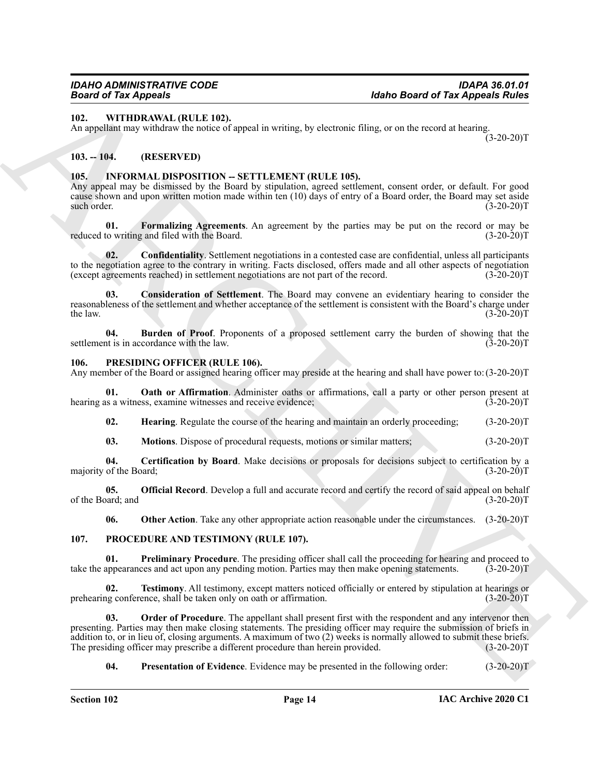#### <span id="page-13-22"></span><span id="page-13-0"></span>**102. WITHDRAWAL (RULE 102).**

An appellant may withdraw the notice of appeal in writing, by electronic filing, or on the record at hearing.  $(3-20-20)T$ 

#### <span id="page-13-1"></span>**103. -- 104. (RESERVED)**

#### <span id="page-13-5"></span><span id="page-13-2"></span>105. INFORMAL DISPOSITION -- SETTLEMENT (RULE 105).

Any appeal may be dismissed by the Board by stipulation, agreed settlement, consent order, or default. For good cause shown and upon written motion made within ten (10) days of entry of a Board order, the Board may set aside such order. (3-20-20)T

<span id="page-13-9"></span>**01.** Formalizing Agreements. An agreement by the parties may be put on the record or may be to writing and filed with the Board. (3-20-20) reduced to writing and filed with the Board.

<span id="page-13-7"></span>**02. Confidentiality**. Settlement negotiations in a contested case are confidential, unless all participants to the negotiation agree to the contrary in writing. Facts disclosed, offers made and all other aspects of negotiation (except agreements reached) in settlement negotiations are not part of the record. (3-20-20)T (except agreements reached) in settlement negotiations are not part of the record.

<span id="page-13-8"></span>**03. Consideration of Settlement**. The Board may convene an evidentiary hearing to consider the reasonableness of the settlement and whether acceptance of the settlement is consistent with the Board's charge under<br>(3-20-20)T<br>(3-20-20)T the law.  $(3-20-20)T$ 

<span id="page-13-6"></span>**04. Burden of Proof**. Proponents of a proposed settlement carry the burden of showing that the settlement is in accordance with the law. (3-20-20)T

#### <span id="page-13-10"></span><span id="page-13-3"></span>**106. PRESIDING OFFICER (RULE 106).**

Any member of the Board or assigned hearing officer may preside at the hearing and shall have power to: (3-20-20)T

**01. Oath or Affirmation**. Administer oaths or affirmations, call a party or other person present at hearing as a witness, examine witnesses and receive evidence; (3-20-20)T

<span id="page-13-14"></span><span id="page-13-12"></span>**02. Hearing**. Regulate the course of the hearing and maintain an orderly proceeding; (3-20-20)T

<span id="page-13-13"></span><span id="page-13-11"></span>**03.** Motions. Dispose of procedural requests, motions or similar matters; (3-20-20)T

**04.** Certification by Board. Make decisions or proposals for decisions subject to certification by a of the Board: (3-20-20) majority of the Board;

**05. Official Record**. Develop a full and accurate record and certify the record of said appeal on behalf (3-20-20)T of the Board; and

<span id="page-13-21"></span><span id="page-13-19"></span><span id="page-13-17"></span><span id="page-13-16"></span><span id="page-13-15"></span>**06.** Other Action. Take any other appropriate action reasonable under the circumstances.  $(3-20-20)T$ 

#### <span id="page-13-4"></span>**107. PROCEDURE AND TESTIMONY (RULE 107).**

**01. Preliminary Procedure**. The presiding officer shall call the proceeding for hearing and proceed to take the appearances and act upon any pending motion. Parties may then make opening statements. (3-20-20)T

**02. Testimony**. All testimony, except matters noticed officially or entered by stipulation at hearings or ng conference, shall be taken only on oath or affirmation. (3-20-20) prehearing conference, shall be taken only on oath or affirmation.

**Example 10 Alsho Board of Tax Appears Address the Case of Tax Appears Address 17.2**<br>
ARCHIVEN ARCHIVEN TRIP,<br>
ARCHIVEN ARCHIVEN TRIP,<br>
ARCHIVEN ARCHIVEN TRIP,<br>
ARCHIVEN TRIP, **EXALT DESCRIPTION - SETTLEMENT (RUE 105). Order of Procedure**. The appellant shall present first with the respondent and any intervenor then presenting. Parties may then make closing statements. The presiding officer may require the submission of briefs in addition to, or in lieu of, closing arguments. A maximum of two (2) weeks is normally allowed to submit these briefs.<br>The presiding officer may prescribe a different procedure than herein provided.  $(3-20-20)$ T The presiding officer may prescribe a different procedure than herein provided.

<span id="page-13-20"></span><span id="page-13-18"></span>**04. Presentation of Evidence**. Evidence may be presented in the following order: (3-20-20)T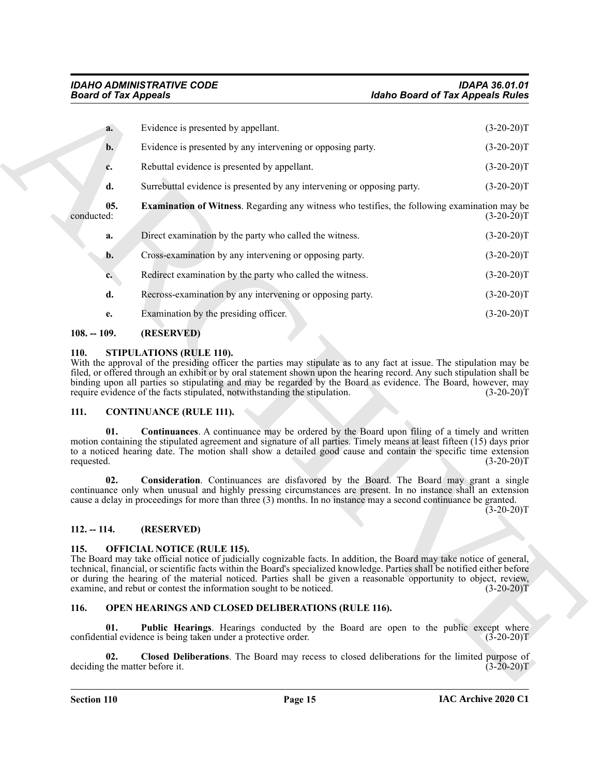|                   | <b>Board of Tax Appeals</b>                                                                                                                                                                                                                                                                                                                                                                                                                                                            | <b>Idaho Board of Tax Appeals Rules</b> |
|-------------------|----------------------------------------------------------------------------------------------------------------------------------------------------------------------------------------------------------------------------------------------------------------------------------------------------------------------------------------------------------------------------------------------------------------------------------------------------------------------------------------|-----------------------------------------|
| a.                | Evidence is presented by appellant.                                                                                                                                                                                                                                                                                                                                                                                                                                                    | $(3-20-20)T$                            |
| b.                | Evidence is presented by any intervening or opposing party.                                                                                                                                                                                                                                                                                                                                                                                                                            | $(3-20-20)T$                            |
| c.                | Rebuttal evidence is presented by appellant.                                                                                                                                                                                                                                                                                                                                                                                                                                           | $(3-20-20)T$                            |
| d.                | Surrebuttal evidence is presented by any intervening or opposing party.                                                                                                                                                                                                                                                                                                                                                                                                                | $(3-20-20)T$                            |
| 05.<br>conducted: | <b>Examination of Witness.</b> Regarding any witness who testifies, the following examination may be                                                                                                                                                                                                                                                                                                                                                                                   | $(3-20-20)T$                            |
| a.                | Direct examination by the party who called the witness.                                                                                                                                                                                                                                                                                                                                                                                                                                | $(3-20-20)T$                            |
| b.                | Cross-examination by any intervening or opposing party.                                                                                                                                                                                                                                                                                                                                                                                                                                | $(3-20-20)T$                            |
| c.                | Redirect examination by the party who called the witness.                                                                                                                                                                                                                                                                                                                                                                                                                              | $(3-20-20)T$                            |
| d.                | Recross-examination by any intervening or opposing party.                                                                                                                                                                                                                                                                                                                                                                                                                              | $(3-20-20)T$                            |
| e.                | Examination by the presiding officer.                                                                                                                                                                                                                                                                                                                                                                                                                                                  | $(3-20-20)T$                            |
| $108. - 109.$     | (RESERVED)                                                                                                                                                                                                                                                                                                                                                                                                                                                                             |                                         |
| 111.<br>01.       | binding upon all parties so stipulating and may be regarded by the Board as evidence. The Board, however, may<br>require evidence of the facts stipulated, notwithstanding the stipulation.<br><b>CONTINUANCE (RULE 111).</b><br>Continuances. A continuance may be ordered by the Board upon filing of a timely and written<br>motion containing the stipulated agreement and signature of all parties. Timely means at least fifteen (15) days prior                                 | $(3-20-20)T$                            |
|                   | to a noticed hearing date. The motion shall show a detailed good cause and contain the specific time extension                                                                                                                                                                                                                                                                                                                                                                         | $(3-20-20)T$                            |
| requested.        |                                                                                                                                                                                                                                                                                                                                                                                                                                                                                        |                                         |
| 02.               | Consideration. Continuances are disfavored by the Board. The Board may grant a single<br>continuance only when unusual and highly pressing circumstances are present. In no instance shall an extension<br>cause a delay in proceedings for more than three (3) months. In no instance may a second continuance be granted.                                                                                                                                                            | $(3-20-20)T$                            |
| $112. - 114.$     | (RESERVED)                                                                                                                                                                                                                                                                                                                                                                                                                                                                             |                                         |
| 115.              | <b>OFFICIAL NOTICE (RULE 115).</b><br>The Board may take official notice of judicially cognizable facts. In addition, the Board may take notice of general,<br>technical, financial, or scientific facts within the Board's specialized knowledge. Parties shall be notified either before<br>or during the hearing of the material noticed. Parties shall be given a reasonable opportunity to object, review,<br>examine, and rebut or contest the information sought to be noticed. | $(3-20-20)T$                            |
| 116.              | OPEN HEARINGS AND CLOSED DELIBERATIONS (RULE 116).                                                                                                                                                                                                                                                                                                                                                                                                                                     |                                         |
| 01.               | <b>Public Hearings.</b> Hearings conducted by the Board are open to the public except where<br>confidential evidence is being taken under a protective order.                                                                                                                                                                                                                                                                                                                          | $(3-20-20)T$                            |

#### <span id="page-14-13"></span><span id="page-14-0"></span>**108. -- 109. (RESERVED)**

#### <span id="page-14-14"></span><span id="page-14-1"></span>**110. STIPULATIONS (RULE 110).**

#### <span id="page-14-8"></span><span id="page-14-6"></span><span id="page-14-2"></span>**111. CONTINUANCE (RULE 111).**

#### <span id="page-14-7"></span><span id="page-14-3"></span>**112. -- 114. (RESERVED)**

#### <span id="page-14-9"></span><span id="page-14-4"></span>**115. OFFICIAL NOTICE (RULE 115).**

#### <span id="page-14-12"></span><span id="page-14-11"></span><span id="page-14-10"></span><span id="page-14-5"></span>**116. OPEN HEARINGS AND CLOSED DELIBERATIONS (RULE 116).**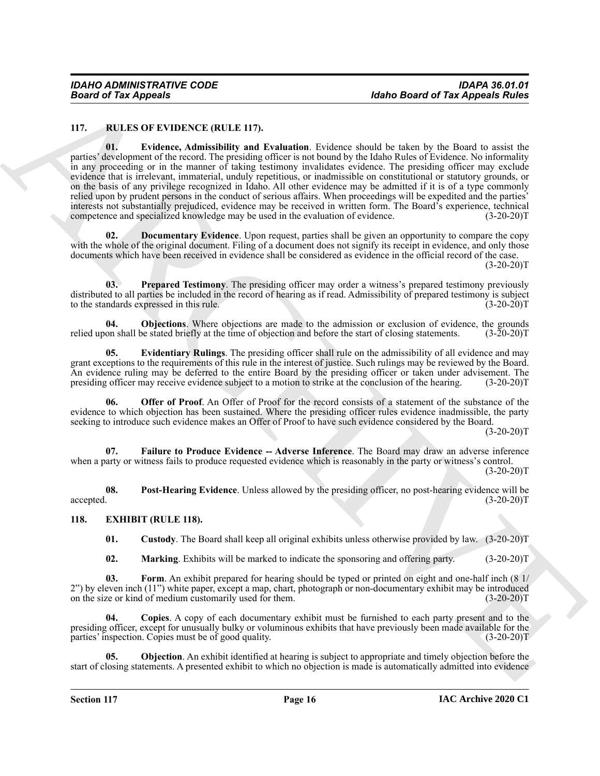#### <span id="page-15-10"></span><span id="page-15-8"></span><span id="page-15-0"></span>**117. RULES OF EVIDENCE (RULE 117).**

**Example 2018**<br>
117. **ELLES ON PERIODE CORRECT (RULE 117).**<br>
117. **ELLES ON PERIODE CORRECT (RULE 117).**<br>
117. **ELLES ON PERIODE CORRECT (RULE 117).**<br>
117. **ELLES ON PERIODE CORRECT (RULE 117).**<br>
117. **ELLES ON PERIODE CO 01. Evidence, Admissibility and Evaluation**. Evidence should be taken by the Board to assist the parties' development of the record. The presiding officer is not bound by the Idaho Rules of Evidence. No informality in any proceeding or in the manner of taking testimony invalidates evidence. The presiding officer may exclude evidence that is irrelevant, immaterial, unduly repetitious, or inadmissible on constitutional or statutory grounds, or on the basis of any privilege recognized in Idaho. All other evidence may be admitted if it is of a type commonly relied upon by prudent persons in the conduct of serious affairs. When proceedings will be expedited and the parties' interests not substantially prejudiced, evidence may be received in written form. The Board's experience, technical competence and specialized knowledge may be used in the evaluation of evidence.

<span id="page-15-9"></span>**02. Documentary Evidence**. Upon request, parties shall be given an opportunity to compare the copy with the whole of the original document. Filing of a document does not signify its receipt in evidence, and only those documents which have been received in evidence shall be considered as evidence in the official record of the case.

 $(3-20-20)T$ 

<span id="page-15-16"></span>**03. Prepared Testimony**. The presiding officer may order a witness's prepared testimony previously distributed to all parties be included in the record of hearing as if read. Admissibility of prepared testimony is subject to the standards expressed in this rule. (3-20-20)T

<span id="page-15-13"></span>**04. Objections**. Where objections are made to the admission or exclusion of evidence, the grounds on shall be stated briefly at the time of objection and before the start of closing statements. (3-20-20)T relied upon shall be stated briefly at the time of objection and before the start of closing statements.

<span id="page-15-11"></span>**05. Evidentiary Rulings**. The presiding officer shall rule on the admissibility of all evidence and may grant exceptions to the requirements of this rule in the interest of justice. Such rulings may be reviewed by the Board. An evidence ruling may be deferred to the entire Board by the presiding officer or taken under advisement. The presiding officer may receive evidence subject to a motion to strike at the conclusion of the hearing. (3-20-20)T

<span id="page-15-14"></span>**06. Offer of Proof**. An Offer of Proof for the record consists of a statement of the substance of the evidence to which objection has been sustained. Where the presiding officer rules evidence inadmissible, the party seeking to introduce such evidence makes an Offer of Proof to have such evidence considered by the Board.

 $(3-20-20)T$ 

<span id="page-15-12"></span>**07. Failure to Produce Evidence -- Adverse Inference**. The Board may draw an adverse inference when a party or witness fails to produce requested evidence which is reasonably in the party or witness's control.  $(3-20-20)$ T

**08. Post-Hearing Evidence**. Unless allowed by the presiding officer, no post-hearing evidence will be  $\alpha$  accepted.  $(3-20-20)T$ 

#### <span id="page-15-1"></span>**118. EXHIBIT (RULE 118).**

<span id="page-15-15"></span><span id="page-15-6"></span><span id="page-15-4"></span><span id="page-15-2"></span>**01. Custody**. The Board shall keep all original exhibits unless otherwise provided by law. (3-20-20)T

<span id="page-15-5"></span><span id="page-15-3"></span>**02. Marking**. Exhibits will be marked to indicate the sponsoring and offering party. (3-20-20)T

**03. Form**. An exhibit prepared for hearing should be typed or printed on eight and one-half inch (8 1/ 2") by eleven inch (11") white paper, except a map, chart, photograph or non-documentary exhibit may be introduced on the size or kind of medium customarily used for them. (3-20-20) on the size or kind of medium customarily used for them.

**04. Copies**. A copy of each documentary exhibit must be furnished to each party present and to the presiding officer, except for unusually bulky or voluminous exhibits that have previously been made available for the parties' inspection. Copies must be of good quality. (3-20-20)T

<span id="page-15-7"></span>**05. Objection**. An exhibit identified at hearing is subject to appropriate and timely objection before the start of closing statements. A presented exhibit to which no objection is made is automatically admitted into evidence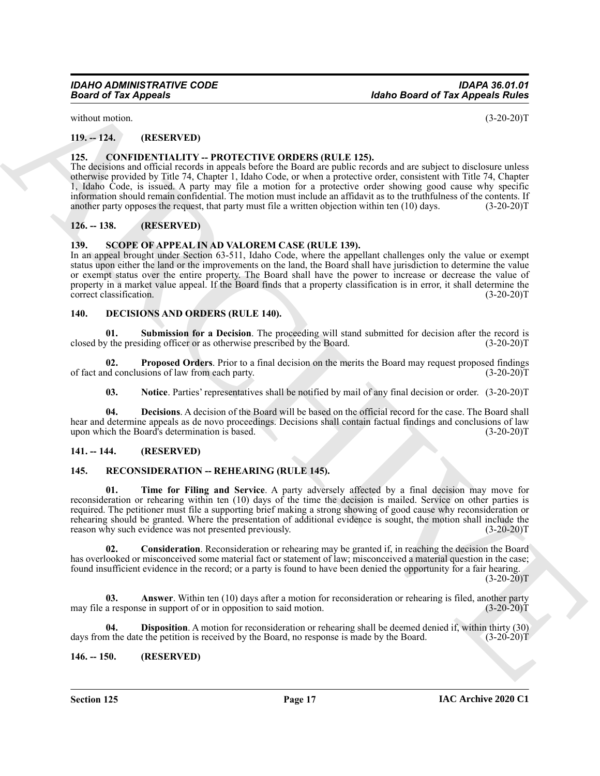without motion.  $(3-20-20)$ T

<span id="page-16-0"></span>**119. -- 124. (RESERVED)**

#### <span id="page-16-8"></span><span id="page-16-1"></span>**125. CONFIDENTIALITY -- PROTECTIVE ORDERS (RULE 125).**

The decisions and official records in appeals before the Board are public records and are subject to disclosure unless otherwise provided by Title 74, Chapter 1, Idaho Code, or when a protective order, consistent with Title 74, Chapter 1, Idaho Code, is issued. A party may file a motion for a protective order showing good cause why specific information should remain confidential. The motion must include an affidavit as to the truthfulness of the contents. If another party opposes the request, that party must file a written objection within ten (10) days. (3-20-20)T

#### <span id="page-16-2"></span>**126. -- 138. (RESERVED)**

#### <span id="page-16-19"></span><span id="page-16-3"></span>**139. SCOPE OF APPEAL IN AD VALOREM CASE (RULE 139).**

In an appeal brought under Section 63-511, Idaho Code, where the appellant challenges only the value or exempt status upon either the land or the improvements on the land, the Board shall have jurisdiction to determine the value or exempt status over the entire property. The Board shall have the power to increase or decrease the value of property in a market value appeal. If the Board finds that a property classification is in error, it shall determine the correct classification. (3-20-20)T

#### <span id="page-16-9"></span><span id="page-16-4"></span>**140. DECISIONS AND ORDERS (RULE 140).**

<span id="page-16-13"></span>**01. Submission for a Decision**. The proceeding will stand submitted for decision after the record is closed by the presiding officer or as otherwise prescribed by the Board. (3-20-20)T

**02. Proposed Orders**. Prior to a final decision on the merits the Board may request proposed findings of fact and conclusions of law from each party. (3-20-20)T

<span id="page-16-12"></span><span id="page-16-11"></span><span id="page-16-10"></span>**03.** Notice. Parties' representatives shall be notified by mail of any final decision or order. (3-20-20)T

**04. Decisions**. A decision of the Board will be based on the official record for the case. The Board shall hear and determine appeals as de novo proceedings. Decisions shall contain factual findings and conclusions of law upon which the Board's determination is based. (3-20-20)T

#### <span id="page-16-5"></span>**141. -- 144. (RESERVED)**

#### <span id="page-16-18"></span><span id="page-16-14"></span><span id="page-16-6"></span>**145. RECONSIDERATION -- REHEARING (RULE 145).**

**Example of Tax Appeals**<br> **Alsho Board of Tax Appeals**<br>
THE  $(15.23 \times 201)$ <br>
THE  $(15.23 \times 201)$ <br>
THE CONTINENT PROTECTIVE ORDERS (RULE 125). As a close and priori of the sign of the continue of the sign of the sign of th **01. Time for Filing and Service**. A party adversely affected by a final decision may move for reconsideration or rehearing within ten (10) days of the time the decision is mailed. Service on other parties is required. The petitioner must file a supporting brief making a strong showing of good cause why reconsideration or rehearing should be granted. Where the presentation of additional evidence is sought, the motion shall include the reason why such evidence was not presented previously. (3-20-20)T

<span id="page-16-16"></span>**02. Consideration**. Reconsideration or rehearing may be granted if, in reaching the decision the Board has overlooked or misconceived some material fact or statement of law; misconceived a material question in the case; found insufficient evidence in the record; or a party is found to have been denied the opportunity for a fair hearing.

 $(3-20-20)T$ 

<span id="page-16-15"></span>**03. Answer**. Within ten (10) days after a motion for reconsideration or rehearing is filed, another party may file a response in support of or in opposition to said motion. (3-20-20)T

<span id="page-16-17"></span>**04. Disposition**. A motion for reconsideration or rehearing shall be deemed denied if, within thirty (30) days from the date the petition is received by the Board, no response is made by the Board. (3-20-20)<sup>T</sup>

#### <span id="page-16-7"></span>**146. -- 150. (RESERVED)**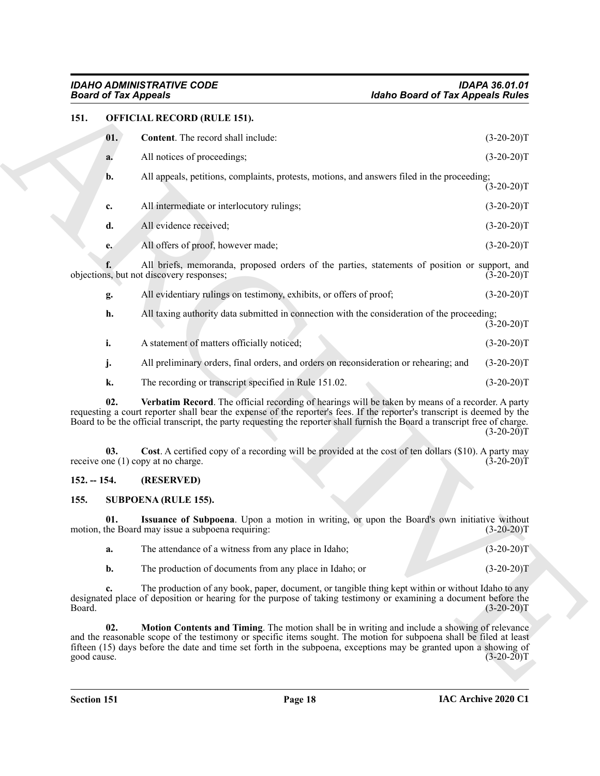#### <span id="page-17-4"></span><span id="page-17-3"></span><span id="page-17-0"></span>**151. OFFICIAL RECORD (RULE 151).**

| <b>Board of Tax Appeals</b> |                                                                                                                                                                                                                                                                                                                                                              | <b>Idaho Board of Tax Appeals Rules</b> |
|-----------------------------|--------------------------------------------------------------------------------------------------------------------------------------------------------------------------------------------------------------------------------------------------------------------------------------------------------------------------------------------------------------|-----------------------------------------|
| 151.                        | <b>OFFICIAL RECORD (RULE 151).</b>                                                                                                                                                                                                                                                                                                                           |                                         |
| 01.                         | Content. The record shall include:                                                                                                                                                                                                                                                                                                                           | $(3-20-20)T$                            |
| a.                          | All notices of proceedings;                                                                                                                                                                                                                                                                                                                                  | $(3-20-20)T$                            |
| b.                          | All appeals, petitions, complaints, protests, motions, and answers filed in the proceeding;                                                                                                                                                                                                                                                                  | $(3-20-20)T$                            |
| c.                          | All intermediate or interlocutory rulings;                                                                                                                                                                                                                                                                                                                   | $(3-20-20)T$                            |
| d.                          | All evidence received;                                                                                                                                                                                                                                                                                                                                       | $(3-20-20)T$                            |
| e.                          | All offers of proof, however made;                                                                                                                                                                                                                                                                                                                           | $(3-20-20)T$                            |
|                             | All briefs, memoranda, proposed orders of the parties, statements of position or support, and<br>objections, but not discovery responses;                                                                                                                                                                                                                    | $(3-20-20)$ T                           |
| g.                          | All evidentiary rulings on testimony, exhibits, or offers of proof;                                                                                                                                                                                                                                                                                          | $(3-20-20)T$                            |
| h.                          | All taxing authority data submitted in connection with the consideration of the proceeding;                                                                                                                                                                                                                                                                  | $(3-20-20)T$                            |
| i.                          | A statement of matters officially noticed;                                                                                                                                                                                                                                                                                                                   | $(3-20-20)T$                            |
| j.                          | All preliminary orders, final orders, and orders on reconsideration or rehearing; and                                                                                                                                                                                                                                                                        | $(3-20-20)T$                            |
| k.                          | The recording or transcript specified in Rule 151.02.                                                                                                                                                                                                                                                                                                        | $(3-20-20)T$                            |
| 02.                         | Verbatim Record. The official recording of hearings will be taken by means of a recorder. A party<br>requesting a court reporter shall bear the expense of the reporter's fees. If the reporter's transcript is deemed by the<br>Board to be the official transcript, the party requesting the reporter shall furnish the Board a transcript free of charge. | $(3-20-20)T$                            |
| 03.                         | Cost. A certified copy of a recording will be provided at the cost of ten dollars (\$10). A party may<br>receive one (1) copy at no charge.                                                                                                                                                                                                                  | $(3-20-20)T$                            |
| $152. - 154.$               | (RESERVED)                                                                                                                                                                                                                                                                                                                                                   |                                         |
| 155.                        | <b>SUBPOENA (RULE 155).</b>                                                                                                                                                                                                                                                                                                                                  |                                         |
| 01.                         | Issuance of Subpoena. Upon a motion in writing, or upon the Board's own initiative without<br>motion, the Board may issue a subpoena requiring:                                                                                                                                                                                                              | $(3-20-20)T$                            |
| a.                          | The attendance of a witness from any place in Idaho;                                                                                                                                                                                                                                                                                                         | $(3-20-20)T$                            |
| b.                          | The production of documents from any place in Idaho; or                                                                                                                                                                                                                                                                                                      | $(3-20-20)T$                            |
| c.<br>Board.                | The production of any book, paper, document, or tangible thing kept within or without Idaho to any<br>designated place of deposition or hearing for the purpose of taking testimony or examining a document before the                                                                                                                                       | $(3-20-20)T$                            |
| 02.<br>good cause.          | <b>Motion Contents and Timing</b> . The motion shall be in writing and include a showing of relevance<br>and the reasonable scope of the testimony or specific items sought. The motion for subpoena shall be filed at least<br>fifteen (15) days before the date and time set forth in the subpoena, exceptions may be granted upon a showing of            | $(3-20-20)T$                            |
|                             |                                                                                                                                                                                                                                                                                                                                                              |                                         |

#### <span id="page-17-6"></span><span id="page-17-5"></span><span id="page-17-1"></span>**152. -- 154. (RESERVED)**

#### <span id="page-17-7"></span><span id="page-17-2"></span>**155. SUBPOENA (RULE 155).**

<span id="page-17-9"></span><span id="page-17-8"></span>

| The attendance of a witness from any place in Idaho;    | $(3-20-20)$ T |
|---------------------------------------------------------|---------------|
| The production of documents from any place in Idaho; or | $(3-20-20)T$  |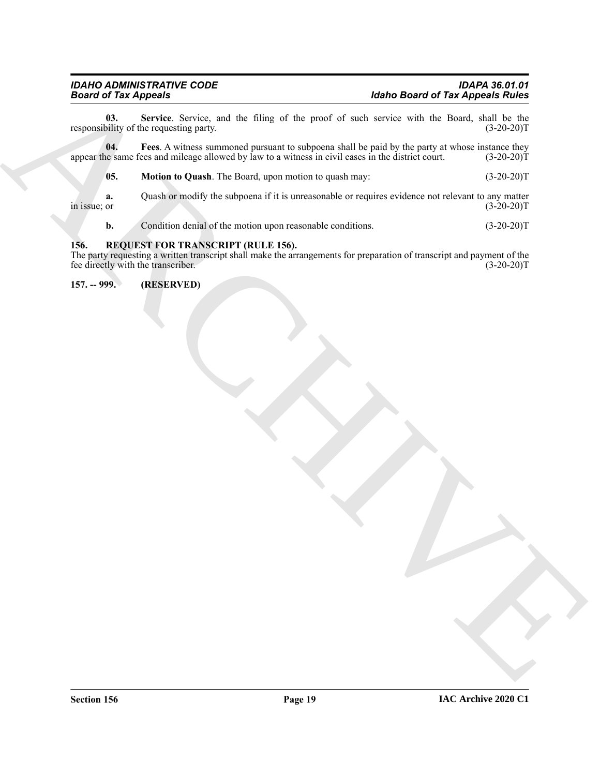<span id="page-18-5"></span>**03.** Service. Service, and the filing of the proof of such service with the Board, shall be the bility of the requesting party. (3-20-20)<sup>T</sup> responsibility of the requesting party.

**04.** Fees. A witness summoned pursuant to subpoena shall be paid by the party at whose instance they be same fees and mileage allowed by law to a witness in civil cases in the district court. (3-20-20)T appear the same fees and mileage allowed by law to a witness in civil cases in the district court.

<span id="page-18-3"></span>

|  | 05. | <b>Motion to Quash.</b> The Board, upon motion to quash may: | $(3-20-20)T$ |
|--|-----|--------------------------------------------------------------|--------------|
|--|-----|--------------------------------------------------------------|--------------|

**a.** Quash or modify the subpoena if it is unreasonable or requires evidence not relevant to any matter in issue; or  $(3-20-20)$ in issue; or  $(3-20-20)$ T

<span id="page-18-4"></span><span id="page-18-2"></span>**b.** Condition denial of the motion upon reasonable conditions. (3-20-20)T

#### <span id="page-18-0"></span>**156. REQUEST FOR TRANSCRIPT (RULE 156).**

**Hotel of Tax Appears** System, small the Elizar of the *ypard* of the *Archives*<br>
responsible of the *Lines* Archives and the Elizar of the *ypard* of anche archives this the Boston and the *Lines*<br>
sponsible of the *Line* The party requesting a written transcript shall make the arrangements for preparation of transcript and payment of the fee directly with the transcriber. (3-20-20) fee directly with the transcriber.

<span id="page-18-1"></span>**157. -- 999. (RESERVED)**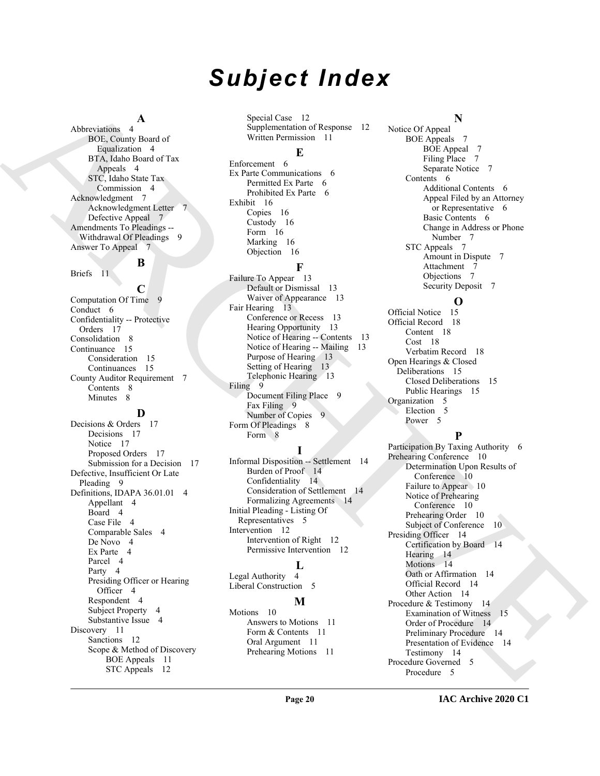# *Subject Index*

#### **A**

Abbreviations 4 BOE, County Board of Equalization 4 BTA, Idaho Board of Tax Appeals 4 STC, Idaho State Tax Commission 4 Acknowledgment 7 Acknowledgment Letter Defective Appeal 7 Amendments To Pleadings -- Withdrawal Of Pleadings 9 Answer To Appeal 7

# **B**

Briefs 11

**C** Computation Of Time 9 Conduct 6 Confidentiality -- Protective Orders 17 Consolidation 8 Continuance 15 Consideration 15 Continuances 15 County Auditor Requirement 7 Contents 8 Minutes 8

### **D**

[A](#page-3-8)lto continue A boundary and the spectra of the spectra of the spectra of the spectra of the spectra of the spectra of the spectra of the spectra of the spectra of the spectra of the spectra of the spectra of the spectra Decisions & Orders 17 Decisions 17 Notice 17 Proposed Orders 17 Submission for a Decision 17 Defective, Insufficient Or Late Pleading 9 Definitions, IDAPA 36.01.01 4 Appellant 4 Board 4 Case File 4 Comparable Sales 4 De Novo 4 Ex Parte 4 Parcel 4 Party 4 Presiding Officer or Hearing Officer 4 Respondent 4 Subject Property 4 Substantive Issue 4 Discovery 11 Sanctions 12 Scope & Method of Discovery BOE Appeals 11 STC Appeals 12

Special Case 12 Supplementation of Response 12 Written Permission 11

#### **E**

Enforcement 6 Ex Parte Communications 6 Permitted Ex Parte 6 Prohibited Ex Parte 6 Exhibit 16 Copies 16 Custody 16 Form 16 Marking 16 Objection 16

## **F**

Failure To Appear 13 Default or Dismissal 13 Waiver of Appearance 13 Fair Hearing 13 Conference or Recess 13 Hearing Opportunity 13 Notice of Hearing -- Contents 13 Notice of Hearing -- Mailing 13 Purpose of Hearing 13 Setting of Hearing 13 Telephonic Hearing 13 Filing 9 Document Filing Place 9 Fax Filing 9 Number of Copies 9 Form Of Pleadings 8 Form 8

### **I**

Informal Disposition -- Settlement 14 Burden of Proof 14 Confidentiality 14 Consideration of Settlement 14 Formalizing Agreements 14 Initial Pleading - Listing Of Representatives 5 Intervention 12 Intervention of Right 12 Permissive Intervention 12

### **L**

Legal Authority 4 Liberal Construction 5

# **M**

Motions 10 Answers to Motions 11 Form & Contents 11 Oral Argument 11 Prehearing Motions 11

#### **N**

Notice Of Appeal BOE Appeals 7 BOE Appeal 7 Filing Place 7 Separate Notice 7 Contents 6 Additional Contents 6 Appeal Filed by an Attorney or Representative 6 Basic Contents 6 Change in Address or Phone Number 7 STC Appeals 7 Amount in Dispute 7 Attachment 7 Objections 7 Security Deposit 7

## **O**

Official Notice 15 Official Record 18 Content 18 Cost 18 Verbatim Record 18 Open Hearings & Closed Deliberations 15 Closed Deliberations 15 Public Hearings 15 Organization 5 Election 5 Power<sub>5</sub>

# **P**

Participation By Taxing Authority 6 Prehearing Conference 10 Determination Upon Results of Conference 10 Failure to Appear 10 Notice of Prehearing Conference 10 Prehearing Order 10 Subject of Conference 10 Presiding Officer 14 Certification by Board 14 Hearing 14 Motions 14 Oath or Affirmation 14 Official Record 14 Other Action 14 Procedure & Testimony 14 Examination of Witness 15 Order of Procedure 14 Preliminary Procedure 14 Presentation of Evidence 14 Testimony 14 Procedure Governed 5 Procedure 5